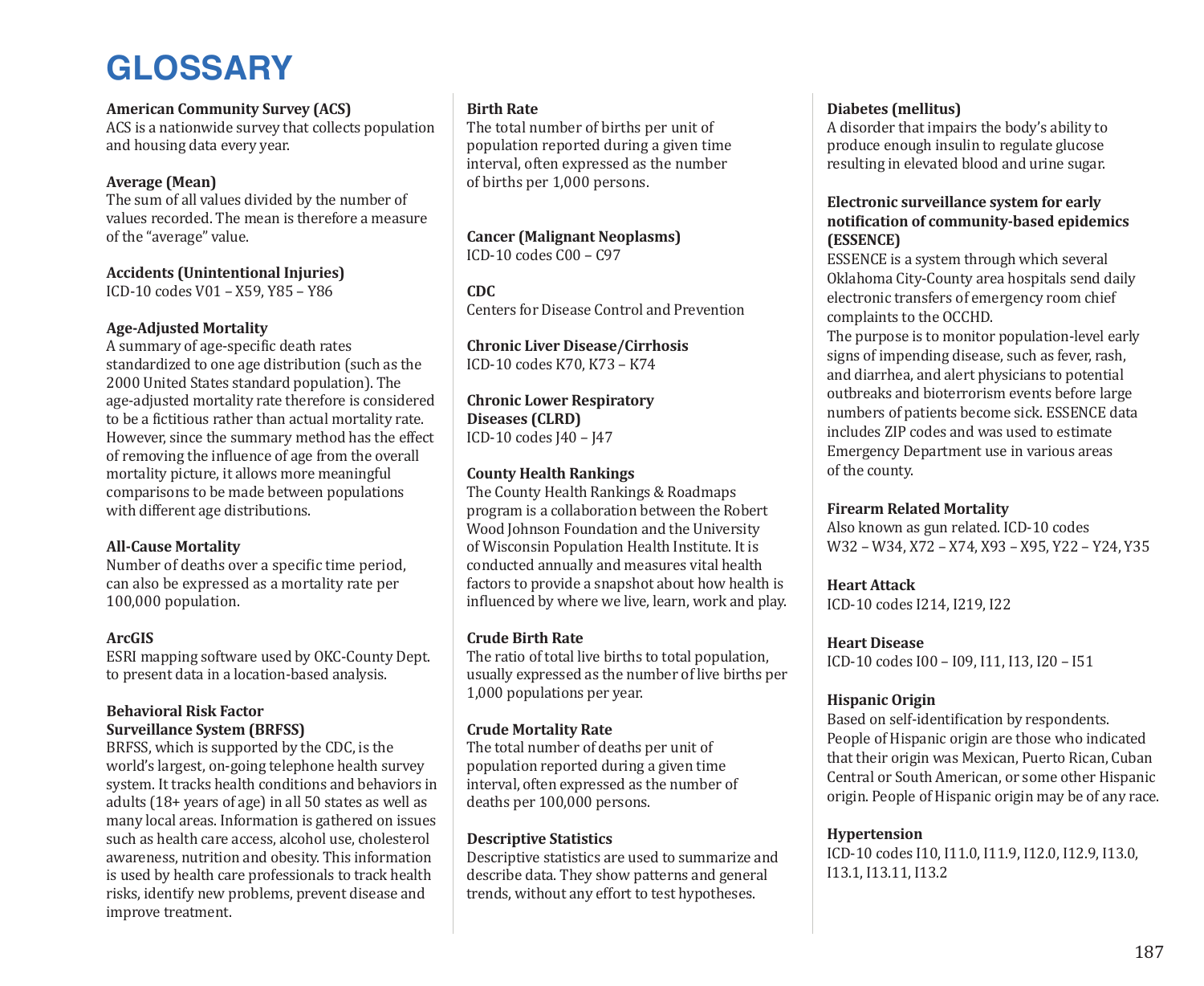# **GLOSSARY**

# **American Community Survey (ACS)**

ACS is a nationwide survey that collects population and housing data every year.

# **Average (Mean)**

The sum of all values divided by the number of values recorded. The mean is therefore a measure of the "average" value.

# **Accidents (Unintentional Injuries)**

ICD-10 codes V01 – X59, Y85 – Y86

# **Age-Adjusted Mortality**

A summary of age-specific death rates standardized to one age distribution (such as the 2000 United States standard population). The age-adjusted mortality rate therefore is considered to be a fictitious rather than actual mortality rate. However, since the summary method has the effect of removing the influence of age from the overall mortality picture, it allows more meaningful comparisons to be made between populations with different age distributions.

# **All-Cause Mortality**

Number of deaths over a specific time period, can also be expressed as a mortality rate per 100,000 population.

## **ArcGIS**

ESRI mapping software used by OKC-County Dept. to present data in a location-based analysis.

## **Behavioral Risk Factor Surveillance System (BRFSS)**

BRFSS, which is supported by the CDC, is the world's largest, on-going telephone health survey system. It tracks health conditions and behaviors in adults (18+ years of age) in all 50 states as well as many local areas. Information is gathered on issues such as health care access, alcohol use, cholesterol awareness, nutrition and obesity. This information is used by health care professionals to track health risks, identify new problems, prevent disease and improve treatment.

# **Birth Rate**

The total number of births per unit of population reported during a given time interval, often expressed as the number of births per 1,000 persons.

# **Cancer (Malignant Neoplasms)**

ICD-10 codes C00 – C97

# **CDC**

Centers for Disease Control and Prevention

**Chronic Liver Disease/Cirrhosis** ICD-10 codes K70, K73 – K74

**Chronic Lower Respiratory Diseases (CLRD)** ICD-10 codes J40 – J47

## **County Health Rankings**

The County Health Rankings & Roadmaps program is a collaboration between the Robert Wood Johnson Foundation and the University of Wisconsin Population Health Institute. It is conducted annually and measures vital health factors to provide a snapshot about how health is influenced by where we live, learn, work and play.

## **Crude Birth Rate**

The ratio of total live births to total population, usually expressed as the number of live births per 1,000 populations per year.

# **Crude Mortality Rate**

The total number of deaths per unit of population reported during a given time interval, often expressed as the number of deaths per 100,000 persons.

## **Descriptive Statistics**

Descriptive statistics are used to summarize and describe data. They show patterns and general trends, without any effort to test hypotheses.

# **Diabetes (mellitus)**

A disorder that impairs the body's ability to produce enough insulin to regulate glucose resulting in elevated blood and urine sugar.

## **Electronic surveillance system for early notification of community-based epidemics (ESSENCE)**

ESSENCE is a system through which several Oklahoma City-County area hospitals send daily electronic transfers of emergency room chief complaints to the OCCHD.

The purpose is to monitor population-level early signs of impending disease, such as fever, rash, and diarrhea, and alert physicians to potential outbreaks and bioterrorism events before large numbers of patients become sick. ESSENCE data includes ZIP codes and was used to estimate Emergency Department use in various areas of the county.

# **Firearm Related Mortality**

Also known as gun related. ICD-10 codes W32 – W34, X72 – X74, X93 – X95, Y22 – Y24, Y35

# **Heart Attack**

ICD-10 codes I214, I219, I22

# **Heart Disease**

ICD-10 codes I00 – I09, I11, I13, I20 – I51

# **Hispanic Origin**

Based on self-identification by respondents. People of Hispanic origin are those who indicated that their origin was Mexican, Puerto Rican, Cuban Central or South American, or some other Hispanic origin. People of Hispanic origin may be of any race.

# **Hypertension**

ICD-10 codes I10, I11.0, I11.9, I12.0, I12.9, I13.0, I13.1, I13.11, I13.2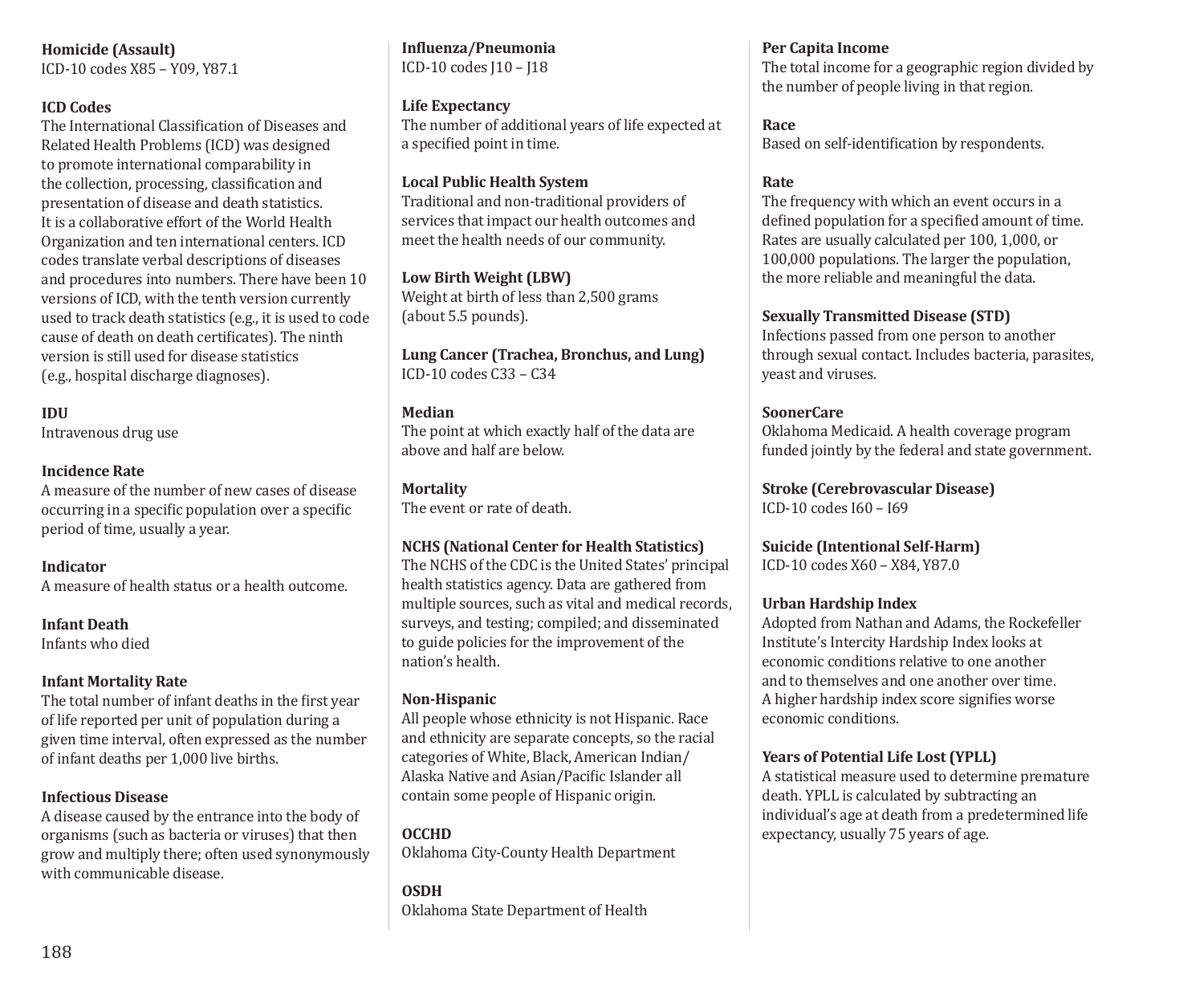**Homicide (Assault)**

ICD-10 codes X85 – Y09, Y87.1

# **ICD Codes**

The International Classification of Diseases and Related Health Problems (ICD) was designed to promote international comparability in the collection, processing, classification and presentation of disease and death statistics. It is a collaborative effort of the World Health Organization and ten international centers. ICD codes translate verbal descriptions of diseases and procedures into numbers. There have been 10 versions of ICD, with the tenth version currently used to track death statistics (e.g., it is used to code cause of death on death certificates). The ninth version is still used for disease statistics (e.g., hospital discharge diagnoses).

# **IDU**

Intravenous drug use

# **Incidence Rate**

A measure of the number of new cases of disease occurring in a specific population over a specific period of time, usually a year.

## **Indicator**

A measure of health status or a health outcome.

## **Infant Death**

Infants who died

## **Infant Mortality Rate**

The total number of infant deaths in the first year of life reported per unit of population during a given time interval, often expressed as the number of infant deaths per 1,000 live births.

## **Infectious Disease**

A disease caused by the entrance into the body of organisms (such as bacteria or viruses) that then grow and multiply there; often used synonymously with communicable disease.

**Influenza/Pneumonia** ICD-10 codes J10 – J18

# **Life Expectancy**

The number of additional years of life expected at a specified point in time.

# **Local Public Health System**

Traditional and non-traditional providers of services that impact our health outcomes and meet the health needs of our community.

## **Low Birth Weight (LBW)**

Weight at birth of less than 2,500 grams (about 5.5 pounds).

**Lung Cancer (Trachea, Bronchus, and Lung)** ICD-10 codes C33 – C34

## **Median**

The point at which exactly half of the data are above and half are below.

**Mortality** The event or rate of death.

# **NCHS (National Center for Health Statistics)**

The NCHS of the CDC is the United States' principal health statistics agency. Data are gathered from multiple sources, such as vital and medical records, surveys, and testing; compiled; and disseminated to guide policies for the improvement of the nation's health.

## **Non-Hispanic**

All people whose ethnicity is not Hispanic. Race and ethnicity are separate concepts, so the racial categories of White, Black, American Indian/ Alaska Native and Asian/Pacific Islander all contain some people of Hispanic origin.

**OCCHD** Oklahoma City-County Health Department

**OSDH** Oklahoma State Department of Health

#### **Per Capita Income**

The total income for a geographic region divided by the number of people living in that region.

## **Race**

Based on self-identification by respondents.

## **Rate**

The frequency with which an event occurs in a defined population for a specified amount of time. Rates are usually calculated per 100, 1,000, or 100,000 populations. The larger the population, the more reliable and meaningful the data.

## **Sexually Transmitted Disease (STD)**

Infections passed from one person to another through sexual contact. Includes bacteria, parasites, yeast and viruses.

# **SoonerCare**

Oklahoma Medicaid. A health coverage program funded jointly by the federal and state government.

**Stroke (Cerebrovascular Disease)** ICD-10 codes I60 – I69

**Suicide (Intentional Self-Harm)** ICD-10 codes X60 – X84, Y87.0

## **Urban Hardship Index**

Adopted from Nathan and Adams, the Rockefeller Institute's Intercity Hardship Index looks at economic conditions relative to one another and to themselves and one another over time. A higher hardship index score signifies worse economic conditions.

# **Years of Potential Life Lost (YPLL)**

A statistical measure used to determine premature death. YPLL is calculated by subtracting an individual's age at death from a predetermined life expectancy, usually 75 years of age.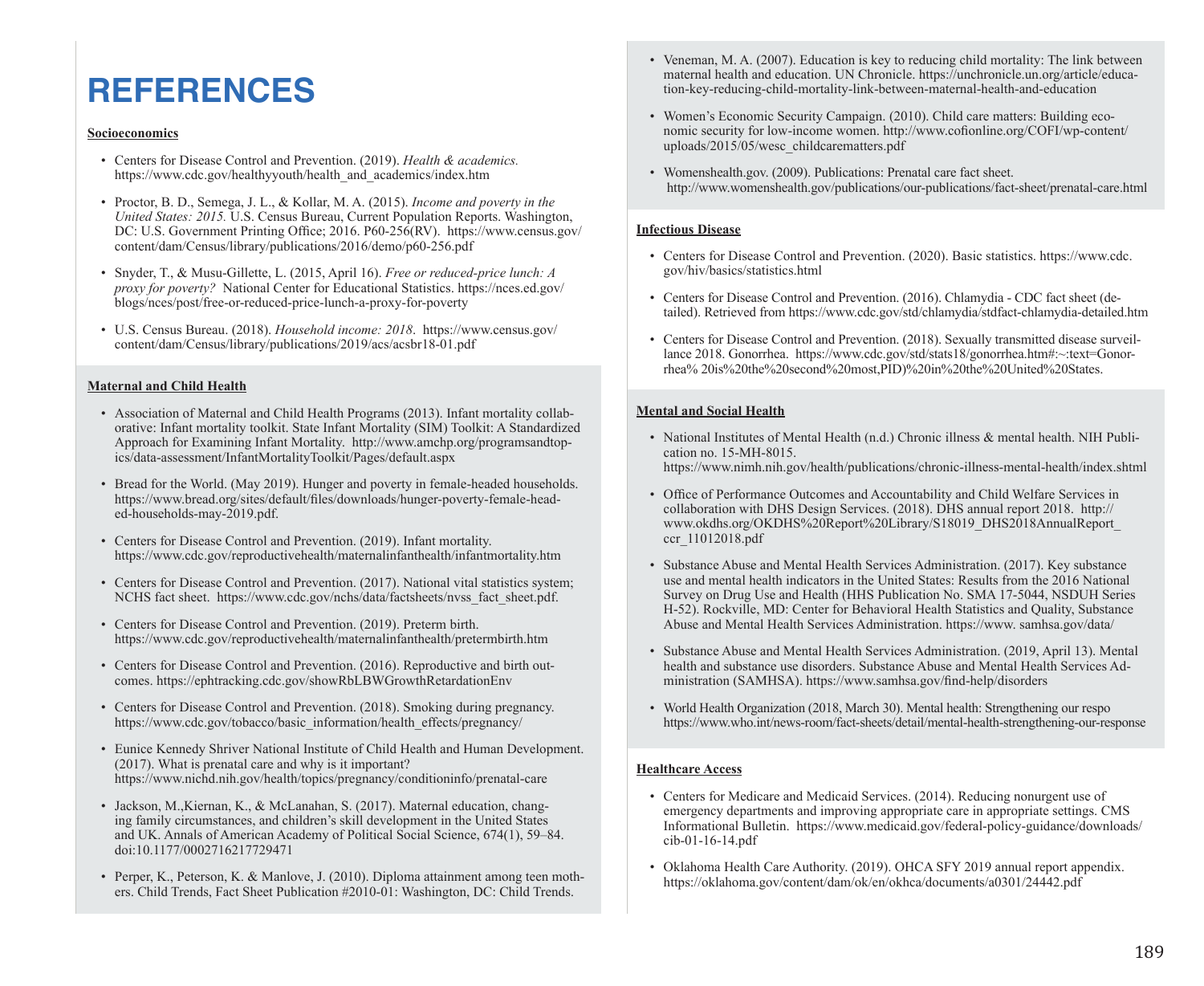# **REFERENCES**

#### **Socioeconomics**

- Centers for Disease Control and Prevention. (2019). *Health & academics.* https://www.cdc.gov/healthyyouth/health\_and\_academics/index.htm
- Proctor, B. D., Semega, J. L., & Kollar, M. A. (2015). *Income and poverty in the United States: 2015.* U.S. Census Bureau, Current Population Reports. Washington, DC: U.S. Government Printing Office; 2016. P60-256(RV). https://www.census.gov/ content/dam/Census/library/publications/2016/demo/p60-256.pdf
- Snyder, T., & Musu-Gillette, L. (2015, April 16). *Free or reduced-price lunch: A proxy for poverty?* National Center for Educational Statistics. https://nces.ed.gov/ blogs/nces/post/free-or-reduced-price-lunch-a-proxy-for-poverty
- U.S. Census Bureau. (2018). *Household income: 2018*. https://www.census.gov/ content/dam/Census/library/publications/2019/acs/acsbr18-01.pdf

#### **Maternal and Child Health**

- Association of Maternal and Child Health Programs (2013). Infant mortality collaborative: Infant mortality toolkit. State Infant Mortality (SIM) Toolkit: A Standardized Approach for Examining Infant Mortality. http://www.amchp.org/programsandtopics/data-assessment/InfantMortalityToolkit/Pages/default.aspx
- Bread for the World. (May 2019). Hunger and poverty in female-headed households. https://www.bread.org/sites/default/files/downloads/hunger-poverty-female-headed-households-may-2019.pdf.
- Centers for Disease Control and Prevention. (2019). Infant mortality. https://www.cdc.gov/reproductivehealth/maternalinfanthealth/infantmortality.htm
- Centers for Disease Control and Prevention. (2017). National vital statistics system; NCHS fact sheet. https://www.cdc.gov/nchs/data/factsheets/nvss\_fact\_sheet.pdf.
- Centers for Disease Control and Prevention. (2019). Preterm birth. https://www.cdc.gov/reproductivehealth/maternalinfanthealth/pretermbirth.htm
- Centers for Disease Control and Prevention. (2016). Reproductive and birth outcomes. https://ephtracking.cdc.gov/showRbLBWGrowthRetardationEnv
- Centers for Disease Control and Prevention. (2018). Smoking during pregnancy. https://www.cdc.gov/tobacco/basic\_information/health\_effects/pregnancy/
- Eunice Kennedy Shriver National Institute of Child Health and Human Development. (2017). What is prenatal care and why is it important? https://www.nichd.nih.gov/health/topics/pregnancy/conditioninfo/prenatal-care
- Jackson, M.,Kiernan, K., & McLanahan, S. (2017). Maternal education, changing family circumstances, and children's skill development in the United States and UK. Annals of American Academy of Political Social Science, 674(1), 59–84. doi:10.1177/0002716217729471
- Perper, K., Peterson, K. & Manlove, J. (2010). Diploma attainment among teen mothers. Child Trends, Fact Sheet Publication #2010-01: Washington, DC: Child Trends.
- Veneman, M. A. (2007). Education is key to reducing child mortality: The link between maternal health and education. UN Chronicle. https://unchronicle.un.org/article/education-key-reducing-child-mortality-link-between-maternal-health-and-education
- Women's Economic Security Campaign. (2010). Child care matters: Building economic security for low-income women. http://www.cofionline.org/COFI/wp-content/ uploads/2015/05/wesc\_childcarematters.pdf
- Womenshealth.gov. (2009). Publications: Prenatal care fact sheet. http://www.womenshealth.gov/publications/our-publications/fact-sheet/prenatal-care.html

#### **Infectious Disease**

- Centers for Disease Control and Prevention. (2020). Basic statistics. https://www.cdc. gov/hiv/basics/statistics.html
- Centers for Disease Control and Prevention. (2016). Chlamydia CDC fact sheet (detailed). Retrieved from https://www.cdc.gov/std/chlamydia/stdfact-chlamydia-detailed.htm
- Centers for Disease Control and Prevention. (2018). Sexually transmitted disease surveillance 2018. Gonorrhea. https://www.cdc.gov/std/stats18/gonorrhea.htm#:~:text=Gonorrhea% 20is%20the%20second%20most,PID)%20in%20the%20United%20States.

#### **Mental and Social Health**

- National Institutes of Mental Health (n.d.) Chronic illness & mental health. NIH Publication no. 15-MH-8015. https://www.nimh.nih.gov/health/publications/chronic-illness-mental-health/index.shtml
- Office of Performance Outcomes and Accountability and Child Welfare Services in collaboration with DHS Design Services. (2018). DHS annual report 2018. http:// www.okdhs.org/OKDHS%20Report%20Library/S18019\_DHS2018AnnualReport\_ ccr\_11012018.pdf
- Substance Abuse and Mental Health Services Administration. (2017). Key substance use and mental health indicators in the United States: Results from the 2016 National Survey on Drug Use and Health (HHS Publication No. SMA 17-5044, NSDUH Series H-52). Rockville, MD: Center for Behavioral Health Statistics and Quality, Substance Abuse and Mental Health Services Administration. https://www. samhsa.gov/data/
- Substance Abuse and Mental Health Services Administration. (2019, April 13). Mental health and substance use disorders. Substance Abuse and Mental Health Services Administration (SAMHSA). https://www.samhsa.gov/find-help/disorders
- World Health Organization (2018, March 30). Mental health: Strengthening our respo https://www.who.int/news-room/fact-sheets/detail/mental-health-strengthening-our-response

#### **Healthcare Access**

- Centers for Medicare and Medicaid Services. (2014). Reducing nonurgent use of emergency departments and improving appropriate care in appropriate settings. CMS Informational Bulletin. https://www.medicaid.gov/federal-policy-guidance/downloads/ cib-01-16-14.pdf
- Oklahoma Health Care Authority. (2019). OHCA SFY 2019 annual report appendix. https://oklahoma.gov/content/dam/ok/en/okhca/documents/a0301/24442.pdf